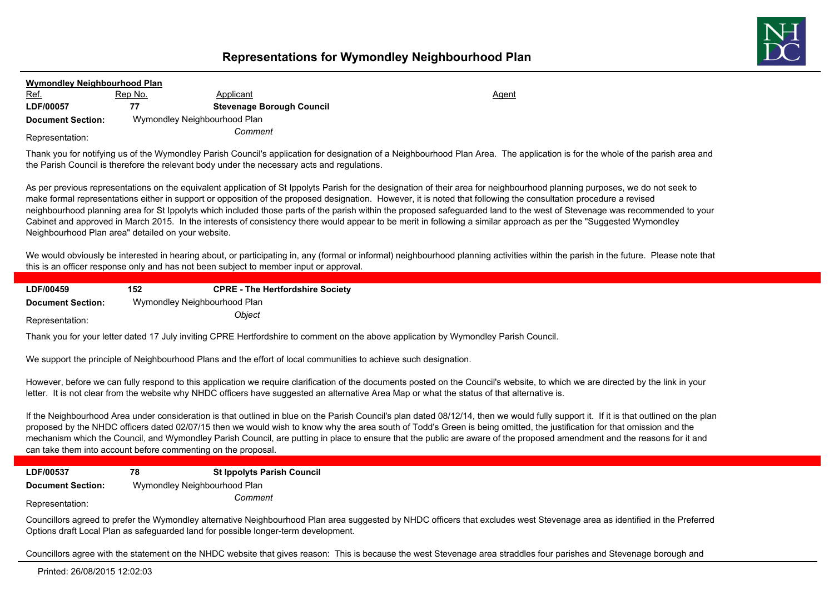

| <b>Wymondley Neighbourhood Plan</b> |                              |                                  |              |  |
|-------------------------------------|------------------------------|----------------------------------|--------------|--|
| <u>Ref.</u>                         | <u>Rep No.</u>               | Applicant                        | <u>Agent</u> |  |
| LDF/00057                           | 77                           | <b>Stevenage Borough Council</b> |              |  |
| <b>Document Section:</b>            | Wymondley Neighbourhood Plan |                                  |              |  |
| Representation:                     | Comment                      |                                  |              |  |

Thank you for notifying us of the Wymondley Parish Council's application for designation of a Neighbourhood Plan Area. The application is for the whole of the parish area and the Parish Council is therefore the relevant body under the necessary acts and regulations.

As per previous representations on the equivalent application of St Ippolyts Parish for the designation of their area for neighbourhood planning purposes, we do not seek to make formal representations either in support or opposition of the proposed designation. However, it is noted that following the consultation procedure a revised neighbourhood planning area for St Ippolyts which included those parts of the parish within the proposed safeguarded land to the west of Stevenage was recommended to your Cabinet and approved in March 2015. In the interests of consistency there would appear to be merit in following a similar approach as per the "Suggested Wymondley Neighbourhood Plan area" detailed on your website.

We would obviously be interested in hearing about, or participating in, any (formal or informal) neighbourhood planning activities within the parish in the future. Please note that this is an officer response only and has not been subject to member input or approval.

| LDF/00459                | 152                          | <b>CPRE - The Hertfordshire Society</b> |
|--------------------------|------------------------------|-----------------------------------------|
| <b>Document Section:</b> | Wymondley Neighbourhood Plan |                                         |
| Representation:          |                              | <i><b>Obiect</b></i>                    |

Thank you for your letter dated 17 July inviting CPRE Hertfordshire to comment on the above application by Wymondley Parish Council.

We support the principle of Neighbourhood Plans and the effort of local communities to achieve such designation.

However, before we can fully respond to this application we require clarification of the documents posted on the Council's website, to which we are directed by the link in your letter. It is not clear from the website why NHDC officers have suggested an alternative Area Map or what the status of that alternative is.

If the Neighbourhood Area under consideration is that outlined in blue on the Parish Council's plan dated 08/12/14, then we would fully support it. If it is that outlined on the plan proposed by the NHDC officers dated 02/07/15 then we would wish to know why the area south of Todd's Green is being omitted, the justification for that omission and the mechanism which the Council, and Wymondley Parish Council, are putting in place to ensure that the public are aware of the proposed amendment and the reasons for it and can take them into account before commenting on the proposal.

**LDF/00537 78 St Ippolyts Parish Council**

**Document Section:** Wymondley Neighbourhood Plan

*Comment* Representation:

Councillors agreed to prefer the Wymondley alternative Neighbourhood Plan area suggested by NHDC officers that excludes west Stevenage area as identified in the Preferred Options draft Local Plan as safeguarded land for possible longer-term development.

Councillors agree with the statement on the NHDC website that gives reason: This is because the west Stevenage area straddles four parishes and Stevenage borough and

Printed: 26/08/2015 12:02:03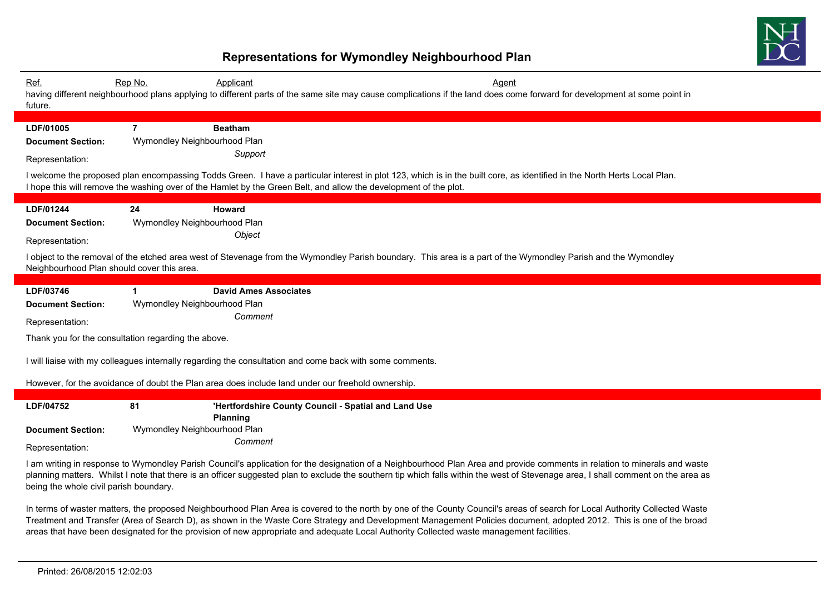

| Ref.<br>future.                                                                                                                                                                                                                                                                                                                                                                                           | Rep No.<br>Applicant                                                                                                                          | <b>Agent</b><br>having different neighbourhood plans applying to different parts of the same site may cause complications if the land does come forward for development at some point in                                                                                                     |  |
|-----------------------------------------------------------------------------------------------------------------------------------------------------------------------------------------------------------------------------------------------------------------------------------------------------------------------------------------------------------------------------------------------------------|-----------------------------------------------------------------------------------------------------------------------------------------------|----------------------------------------------------------------------------------------------------------------------------------------------------------------------------------------------------------------------------------------------------------------------------------------------|--|
| LDF/01005<br><b>Document Section:</b><br>Representation:                                                                                                                                                                                                                                                                                                                                                  | $\overline{7}$<br><b>Beatham</b><br>Wymondley Neighbourhood Plan<br>Support                                                                   | I welcome the proposed plan encompassing Todds Green. I have a particular interest in plot 123, which is in the built core, as identified in the North Herts Local Plan.<br>I hope this will remove the washing over of the Hamlet by the Green Belt, and allow the development of the plot. |  |
| LDF/01244<br><b>Document Section:</b><br>Representation:<br>Neighbourhood Plan should cover this area.                                                                                                                                                                                                                                                                                                    | 24<br><b>Howard</b><br>Wymondley Neighbourhood Plan<br>Object                                                                                 | I object to the removal of the etched area west of Stevenage from the Wymondley Parish boundary. This area is a part of the Wymondley Parish and the Wymondley                                                                                                                               |  |
| LDF/03746<br><b>Document Section:</b><br>Representation:                                                                                                                                                                                                                                                                                                                                                  | $\mathbf 1$<br><b>David Ames Associates</b><br>Wymondley Neighbourhood Plan<br>Comment<br>Thank you for the consultation regarding the above. |                                                                                                                                                                                                                                                                                              |  |
| I will liaise with my colleagues internally regarding the consultation and come back with some comments.<br>However, for the avoidance of doubt the Plan area does include land under our freehold ownership.                                                                                                                                                                                             |                                                                                                                                               |                                                                                                                                                                                                                                                                                              |  |
| LDF/04752                                                                                                                                                                                                                                                                                                                                                                                                 | 81<br>Planning                                                                                                                                | 'Hertfordshire County Council - Spatial and Land Use                                                                                                                                                                                                                                         |  |
| <b>Document Section:</b><br>Representation:                                                                                                                                                                                                                                                                                                                                                               | Wymondley Neighbourhood Plan<br>Comment                                                                                                       |                                                                                                                                                                                                                                                                                              |  |
| I am writing in response to Wymondley Parish Council's application for the designation of a Neighbourhood Plan Area and provide comments in relation to minerals and waste<br>planning matters. Whilst I note that there is an officer suggested plan to exclude the southern tip which falls within the west of Stevenage area, I shall comment on the area as<br>being the whole civil parish boundary. |                                                                                                                                               |                                                                                                                                                                                                                                                                                              |  |

In terms of waster matters, the proposed Neighbourhood Plan Area is covered to the north by one of the County Council's areas of search for Local Authority Collected Waste Treatment and Transfer (Area of Search D), as shown in the Waste Core Strategy and Development Management Policies document, adopted 2012. This is one of the broad areas that have been designated for the provision of new appropriate and adequate Local Authority Collected waste management facilities.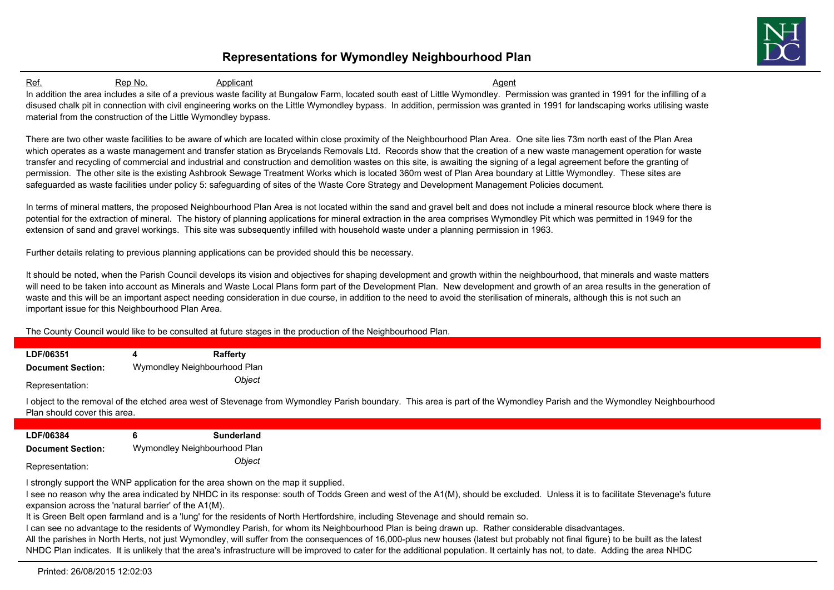

Ref. 6. Rep No. 6. Applicant Agent Agent Agent Agent Agent Agent Agent Agent Agent In addition the area includes a site of a previous waste facility at Bungalow Farm, located south east of Little Wymondley. Permission was granted in 1991 for the infilling of a disused chalk pit in connection with civil engineering works on the Little Wymondley bypass. In addition, permission was granted in 1991 for landscaping works utilising waste material from the construction of the Little Wymondley bypass.

There are two other waste facilities to be aware of which are located within close proximity of the Neighbourhood Plan Area. One site lies 73m north east of the Plan Area which operates as a waste management and transfer station as Brycelands Removals Ltd. Records show that the creation of a new waste management operation for waste transfer and recycling of commercial and industrial and construction and demolition wastes on this site, is awaiting the signing of a legal agreement before the granting of permission. The other site is the existing Ashbrook Sewage Treatment Works which is located 360m west of Plan Area boundary at Little Wymondley. These sites are safeguarded as waste facilities under policy 5: safeguarding of sites of the Waste Core Strategy and Development Management Policies document.

In terms of mineral matters, the proposed Neighbourhood Plan Area is not located within the sand and gravel belt and does not include a mineral resource block where there is potential for the extraction of mineral. The history of planning applications for mineral extraction in the area comprises Wymondley Pit which was permitted in 1949 for the extension of sand and gravel workings. This site was subsequently infilled with household waste under a planning permission in 1963.

Further details relating to previous planning applications can be provided should this be necessary.

It should be noted, when the Parish Council develops its vision and objectives for shaping development and growth within the neighbourhood, that minerals and waste matters will need to be taken into account as Minerals and Waste Local Plans form part of the Development Plan. New development and growth of an area results in the generation of waste and this will be an important aspect needing consideration in due course, in addition to the need to avoid the sterilisation of minerals, although this is not such an important issue for this Neighbourhood Plan Area.

The County Council would like to be consulted at future stages in the production of the Neighbourhood Plan.

| LDF/06351                | Rafferty                     |
|--------------------------|------------------------------|
| <b>Document Section:</b> | Wymondley Neighbourhood Plan |
| Representation:          | Object                       |

I object to the removal of the etched area west of Stevenage from Wymondley Parish boundary. This area is part of the Wymondley Parish and the Wymondley Neighbourhood Plan should cover this area.

| <b>LDF/06384</b>         | 6 | <b>Sunderland</b>            |
|--------------------------|---|------------------------------|
| <b>Document Section:</b> |   | Wymondley Neighbourhood Plan |
|                          |   | Object                       |

Representation:

I strongly support the WNP application for the area shown on the map it supplied.

I see no reason why the area indicated by NHDC in its response: south of Todds Green and west of the A1(M), should be excluded. Unless it is to facilitate Stevenage's future expansion across the 'natural barrier' of the A1(M).

It is Green Belt open farmland and is a 'lung' for the residents of North Hertfordshire, including Stevenage and should remain so.

I can see no advantage to the residents of Wymondley Parish, for whom its Neighbourhood Plan is being drawn up. Rather considerable disadvantages.

All the parishes in North Herts, not just Wymondley, will suffer from the consequences of 16,000-plus new houses (latest but probably not final figure) to be built as the latest NHDC Plan indicates. It is unlikely that the area's infrastructure will be improved to cater for the additional population. It certainly has not, to date. Adding the area NHDC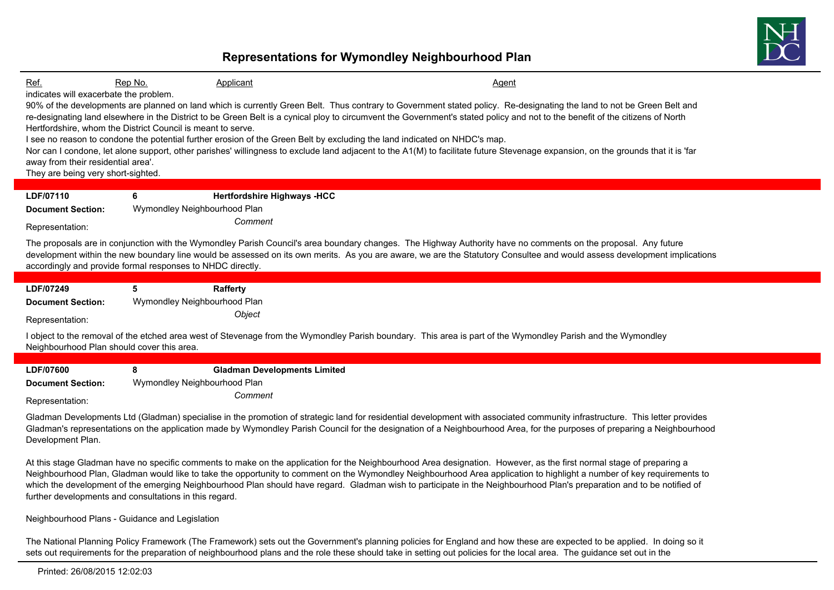

#### Neighbourhood Plans - Guidance and Legislation

The National Planning Policy Framework (The Framework) sets out the Government's planning policies for England and how these are expected to be applied. In doing so it sets out requirements for the preparation of neighbourhood plans and the role these should take in setting out policies for the local area. The guidance set out in the

Printed: 26/08/2015 12:02:03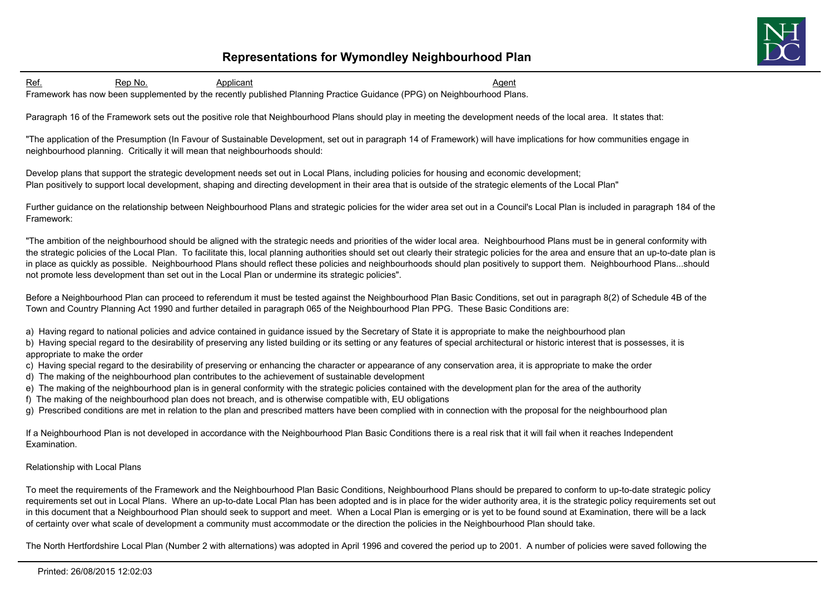

Ref. 6. Rep No. 6. Applicant Agent Agent Agent Agent Agent Agent Agent Agent Agent Framework has now been supplemented by the recently published Planning Practice Guidance (PPG) on Neighbourhood Plans.

Paragraph 16 of the Framework sets out the positive role that Neighbourhood Plans should play in meeting the development needs of the local area. It states that:

"The application of the Presumption (In Favour of Sustainable Development, set out in paragraph 14 of Framework) will have implications for how communities engage in neighbourhood planning. Critically it will mean that neighbourhoods should:

Develop plans that support the strategic development needs set out in Local Plans, including policies for housing and economic development; Plan positively to support local development, shaping and directing development in their area that is outside of the strategic elements of the Local Plan"

Further guidance on the relationship between Neighbourhood Plans and strategic policies for the wider area set out in a Council's Local Plan is included in paragraph 184 of the Framework:

"The ambition of the neighbourhood should be aligned with the strategic needs and priorities of the wider local area. Neighbourhood Plans must be in general conformity with the strategic policies of the Local Plan. To facilitate this, local planning authorities should set out clearly their strategic policies for the area and ensure that an up-to-date plan is in place as quickly as possible. Neighbourhood Plans should reflect these policies and neighbourhoods should plan positively to support them. Neighbourhood Plans...should not promote less development than set out in the Local Plan or undermine its strategic policies".

Before a Neighbourhood Plan can proceed to referendum it must be tested against the Neighbourhood Plan Basic Conditions, set out in paragraph 8(2) of Schedule 4B of the Town and Country Planning Act 1990 and further detailed in paragraph 065 of the Neighbourhood Plan PPG. These Basic Conditions are:

a) Having regard to national policies and advice contained in guidance issued by the Secretary of State it is appropriate to make the neighbourhood plan

b) Having special regard to the desirability of preserving any listed building or its setting or any features of special architectural or historic interest that is possesses, it is appropriate to make the order

- c) Having special regard to the desirability of preserving or enhancing the character or appearance of any conservation area, it is appropriate to make the order
- d) The making of the neighbourhood plan contributes to the achievement of sustainable development
- e) The making of the neighbourhood plan is in general conformity with the strategic policies contained with the development plan for the area of the authority
- f) The making of the neighbourhood plan does not breach, and is otherwise compatible with, EU obligations

g) Prescribed conditions are met in relation to the plan and prescribed matters have been complied with in connection with the proposal for the neighbourhood plan

If a Neighbourhood Plan is not developed in accordance with the Neighbourhood Plan Basic Conditions there is a real risk that it will fail when it reaches Independent Examination.

#### Relationship with Local Plans

To meet the requirements of the Framework and the Neighbourhood Plan Basic Conditions, Neighbourhood Plans should be prepared to conform to up-to-date strategic policy requirements set out in Local Plans. Where an up-to-date Local Plan has been adopted and is in place for the wider authority area, it is the strategic policy requirements set out in this document that a Neighbourhood Plan should seek to support and meet. When a Local Plan is emerging or is yet to be found sound at Examination, there will be a lack of certainty over what scale of development a community must accommodate or the direction the policies in the Neighbourhood Plan should take.

The North Hertfordshire Local Plan (Number 2 with alternations) was adopted in April 1996 and covered the period up to 2001. A number of policies were saved following the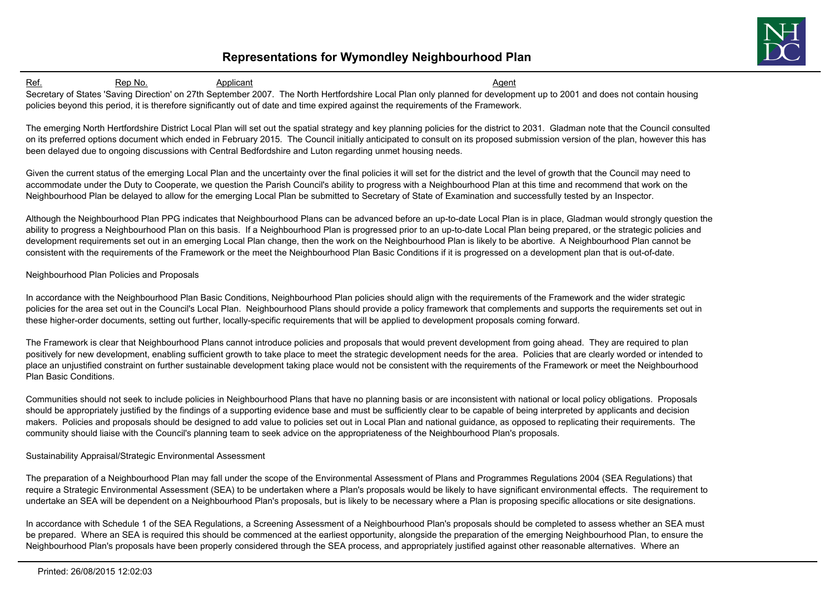

Ref. 6. Rep No. 6. Applicant Agent Agent Agent Agent Agent Agent Agent Agent Agent Secretary of States 'Saving Direction' on 27th September 2007. The North Hertfordshire Local Plan only planned for development up to 2001 and does not contain housing policies beyond this period, it is therefore significantly out of date and time expired against the requirements of the Framework.

The emerging North Hertfordshire District Local Plan will set out the spatial strategy and key planning policies for the district to 2031. Gladman note that the Council consulted on its preferred options document which ended in February 2015. The Council initially anticipated to consult on its proposed submission version of the plan, however this has been delayed due to ongoing discussions with Central Bedfordshire and Luton regarding unmet housing needs.

Given the current status of the emerging Local Plan and the uncertainty over the final policies it will set for the district and the level of growth that the Council may need to accommodate under the Duty to Cooperate, we question the Parish Council's ability to progress with a Neighbourhood Plan at this time and recommend that work on the Neighbourhood Plan be delayed to allow for the emerging Local Plan be submitted to Secretary of State of Examination and successfully tested by an Inspector.

Although the Neighbourhood Plan PPG indicates that Neighbourhood Plans can be advanced before an up-to-date Local Plan is in place, Gladman would strongly question the ability to progress a Neighbourhood Plan on this basis. If a Neighbourhood Plan is progressed prior to an up-to-date Local Plan being prepared, or the strategic policies and development requirements set out in an emerging Local Plan change, then the work on the Neighbourhood Plan is likely to be abortive. A Neighbourhood Plan cannot be consistent with the requirements of the Framework or the meet the Neighbourhood Plan Basic Conditions if it is progressed on a development plan that is out-of-date.

#### Neighbourhood Plan Policies and Proposals

In accordance with the Neighbourhood Plan Basic Conditions, Neighbourhood Plan policies should align with the requirements of the Framework and the wider strategic policies for the area set out in the Council's Local Plan. Neighbourhood Plans should provide a policy framework that complements and supports the requirements set out in these higher-order documents, setting out further, locally-specific requirements that will be applied to development proposals coming forward.

The Framework is clear that Neighbourhood Plans cannot introduce policies and proposals that would prevent development from going ahead. They are required to plan positively for new development, enabling sufficient growth to take place to meet the strategic development needs for the area. Policies that are clearly worded or intended to place an unjustified constraint on further sustainable development taking place would not be consistent with the requirements of the Framework or meet the Neighbourhood Plan Basic Conditions.

Communities should not seek to include policies in Neighbourhood Plans that have no planning basis or are inconsistent with national or local policy obligations. Proposals should be appropriately justified by the findings of a supporting evidence base and must be sufficiently clear to be capable of being interpreted by applicants and decision makers. Policies and proposals should be designed to add value to policies set out in Local Plan and national guidance, as opposed to replicating their requirements. The community should liaise with the Council's planning team to seek advice on the appropriateness of the Neighbourhood Plan's proposals.

### Sustainability Appraisal/Strategic Environmental Assessment

The preparation of a Neighbourhood Plan may fall under the scope of the Environmental Assessment of Plans and Programmes Regulations 2004 (SEA Regulations) that require a Strategic Environmental Assessment (SEA) to be undertaken where a Plan's proposals would be likely to have significant environmental effects. The requirement to undertake an SEA will be dependent on a Neighbourhood Plan's proposals, but is likely to be necessary where a Plan is proposing specific allocations or site designations.

In accordance with Schedule 1 of the SEA Regulations, a Screening Assessment of a Neighbourhood Plan's proposals should be completed to assess whether an SEA must be prepared. Where an SEA is required this should be commenced at the earliest opportunity, alongside the preparation of the emerging Neighbourhood Plan, to ensure the Neighbourhood Plan's proposals have been properly considered through the SEA process, and appropriately justified against other reasonable alternatives. Where an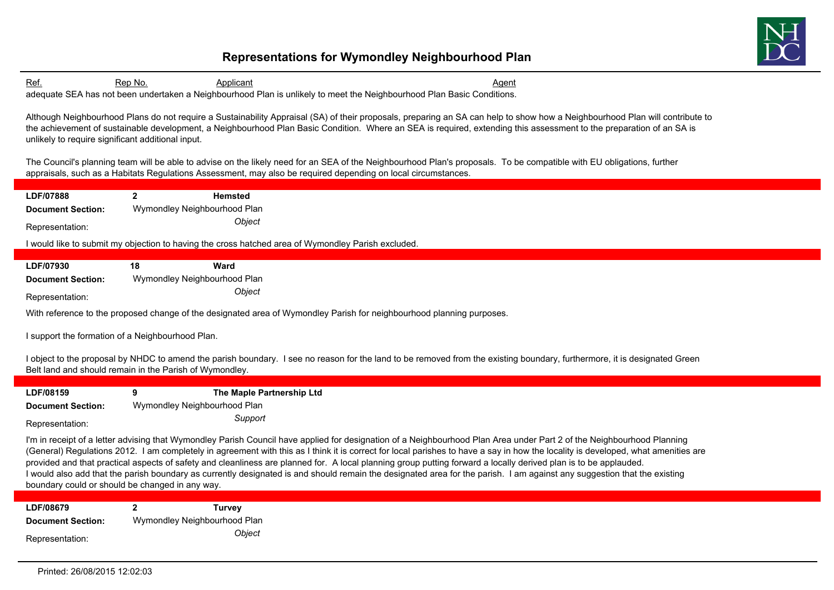

Ref. 6. Rep No. 6. Applicant Agent Agent Agent Agent Agent Agent Agent Agent Agent adequate SEA has not been undertaken a Neighbourhood Plan is unlikely to meet the Neighbourhood Plan Basic Conditions.

Although Neighbourhood Plans do not require a Sustainability Appraisal (SA) of their proposals, preparing an SA can help to show how a Neighbourhood Plan will contribute to the achievement of sustainable development, a Neighbourhood Plan Basic Condition. Where an SEA is required, extending this assessment to the preparation of an SA is unlikely to require significant additional input.

The Council's planning team will be able to advise on the likely need for an SEA of the Neighbourhood Plan's proposals. To be compatible with EU obligations, further appraisals, such as a Habitats Regulations Assessment, may also be required depending on local circumstances.

**LDF/07888 2 Hemsted Document Section:** Wymondley Neighbourhood Plan *Object* Representation:

I would like to submit my objection to having the cross hatched area of Wymondley Parish excluded.

| LDF/07930                | 18 | Ward                         |
|--------------------------|----|------------------------------|
| <b>Document Section:</b> |    | Wymondley Neighbourhood Plan |
| Representation:          |    | <i><b>Obiect</b></i>         |

With reference to the proposed change of the designated area of Wymondley Parish for neighbourhood planning purposes.

I support the formation of a Neighbourhood Plan.

I object to the proposal by NHDC to amend the parish boundary. I see no reason for the land to be removed from the existing boundary, furthermore, it is designated Green Belt land and should remain in the Parish of Wymondley.

| LDF/08159                | The Maple Partnership Ltd    |  |
|--------------------------|------------------------------|--|
| <b>Document Section:</b> | Wymondley Neighbourhood Plan |  |
| Representation:          | Support                      |  |

I'm in receipt of a letter advising that Wymondley Parish Council have applied for designation of a Neighbourhood Plan Area under Part 2 of the Neighbourhood Planning (General) Regulations 2012. I am completely in agreement with this as I think it is correct for local parishes to have a say in how the locality is developed, what amenities are provided and that practical aspects of safety and cleanliness are planned for. A local planning group putting forward a locally derived plan is to be applauded. I would also add that the parish boundary as currently designated is and should remain the designated area for the parish. I am against any suggestion that the existing boundary could or should be changed in any way.

**LDF/08679 2 Turvey Document Section:** Wymondley Neighbourhood Plan *Object* Representation: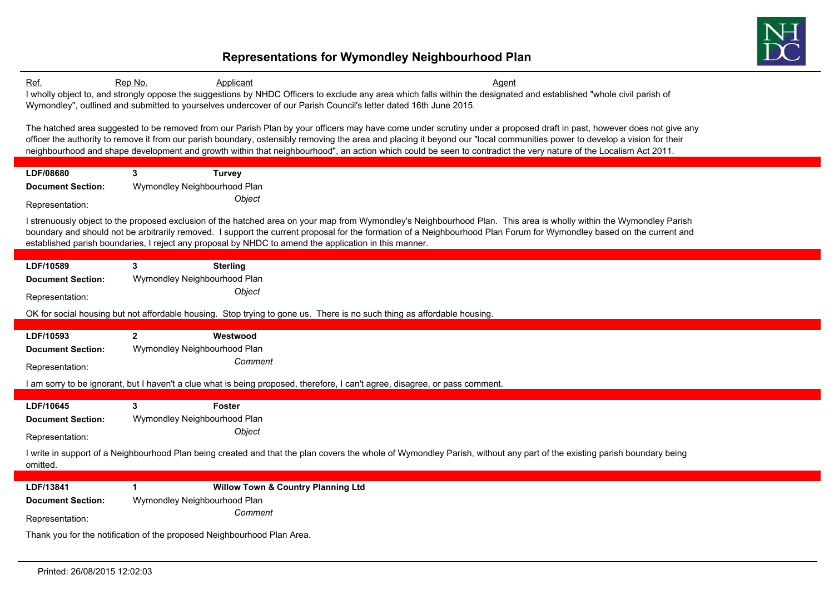

| Ref.                                                                    | Rep No.                      | Applicant                                     | Agent                                                                                                                                                                      |
|-------------------------------------------------------------------------|------------------------------|-----------------------------------------------|----------------------------------------------------------------------------------------------------------------------------------------------------------------------------|
|                                                                         |                              |                                               | I wholly object to, and strongly oppose the suggestions by NHDC Officers to exclude any area which falls within the designated and established "whole civil parish of      |
|                                                                         |                              |                                               | Wymondley", outlined and submitted to yourselves undercover of our Parish Council's letter dated 16th June 2015.                                                           |
|                                                                         |                              |                                               | The hatched area suggested to be removed from our Parish Plan by your officers may have come under scrutiny under a proposed draft in past, however does not give any      |
|                                                                         |                              |                                               | officer the authority to remove it from our parish boundary, ostensibly removing the area and placing it beyond our "local communities power to develop a vision for their |
|                                                                         |                              |                                               | neighbourhood and shape development and growth within that neighbourhood", an action which could be seen to contradict the very nature of the Localism Act 2011.           |
|                                                                         |                              |                                               |                                                                                                                                                                            |
| LDF/08680                                                               | 3 <sup>1</sup>               | <b>Turvey</b>                                 |                                                                                                                                                                            |
| <b>Document Section:</b>                                                | Wymondley Neighbourhood Plan |                                               |                                                                                                                                                                            |
| Representation:                                                         |                              | Object                                        |                                                                                                                                                                            |
|                                                                         |                              |                                               | I strenuously object to the proposed exclusion of the hatched area on your map from Wymondley's Neighbourhood Plan. This area is wholly within the Wymondley Parish        |
|                                                                         |                              |                                               | boundary and should not be arbitrarily removed. I support the current proposal for the formation of a Neighbourhood Plan Forum for Wymondley based on the current and      |
|                                                                         |                              |                                               | established parish boundaries, I reject any proposal by NHDC to amend the application in this manner.                                                                      |
| LDF/10589                                                               | 3                            | <b>Sterling</b>                               |                                                                                                                                                                            |
| <b>Document Section:</b>                                                | Wymondley Neighbourhood Plan |                                               |                                                                                                                                                                            |
| Representation:                                                         |                              | Object                                        |                                                                                                                                                                            |
|                                                                         |                              |                                               | OK for social housing but not affordable housing. Stop trying to gone us. There is no such thing as affordable housing.                                                    |
|                                                                         |                              |                                               |                                                                                                                                                                            |
| LDF/10593                                                               | $2^{\circ}$                  | Westwood                                      |                                                                                                                                                                            |
| <b>Document Section:</b>                                                | Wymondley Neighbourhood Plan |                                               |                                                                                                                                                                            |
| Representation:                                                         |                              | Comment                                       |                                                                                                                                                                            |
|                                                                         |                              |                                               | am sorry to be ignorant, but I haven't a clue what is being proposed, therefore, I can't agree, disagree, or pass comment.                                                 |
|                                                                         |                              |                                               |                                                                                                                                                                            |
| LDF/10645                                                               | 3                            | Foster                                        |                                                                                                                                                                            |
| <b>Document Section:</b>                                                | Wymondley Neighbourhood Plan |                                               |                                                                                                                                                                            |
| Representation:                                                         |                              | Object                                        |                                                                                                                                                                            |
|                                                                         |                              |                                               | I write in support of a Neighbourhood Plan being created and that the plan covers the whole of Wymondley Parish, without any part of the existing parish boundary being    |
| omitted.                                                                |                              |                                               |                                                                                                                                                                            |
| LDF/13841                                                               | $\mathbf{1}$                 | <b>Willow Town &amp; Country Planning Ltd</b> |                                                                                                                                                                            |
| <b>Document Section:</b>                                                | Wymondley Neighbourhood Plan |                                               |                                                                                                                                                                            |
|                                                                         |                              | Comment                                       |                                                                                                                                                                            |
| Representation:                                                         |                              |                                               |                                                                                                                                                                            |
| Thank you for the notification of the proposed Neighbourhood Plan Area. |                              |                                               |                                                                                                                                                                            |
|                                                                         |                              |                                               |                                                                                                                                                                            |